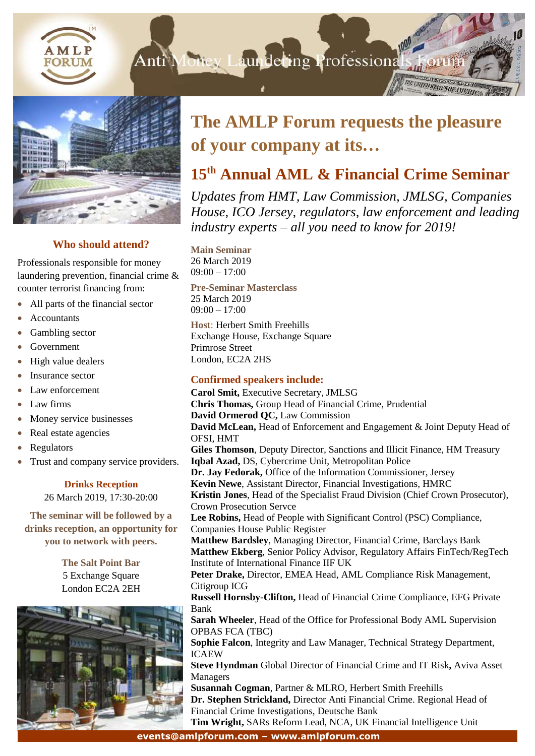



# **Who should attend?**

Professionals responsible for money laundering prevention, financial crime & counter terrorist financing from:

- All parts of the financial sector
- Accountants
- Gambling sector
- Government
- High value dealers
- Insurance sector
- Law enforcement
- Law firms
- Money service businesses
- Real estate agencies
- Regulators
- Trust and company service providers.

# **Drinks Reception**

26 March 2019, 17:30-20:00

**The seminar will be followed by a drinks reception, an opportunity for you to network with peers.**

> **The Salt Point Bar** 5 Exchange Square London EC2A 2EH



# **The AMLP Forum requests the pleasure of your company at its…**

# **15 th Annual AML & Financial Crime Seminar**

*Updates from HMT, Law Commission, JMLSG, Companies House, ICO Jersey, regulators, law enforcement and leading industry experts – all you need to know for 2019!*

**Main Seminar** 26 March 2019  $09:00 - 17:00$ 

**Pre-Seminar Masterclass** 25 March 2019 09:00 – 17:00

**Host**: Herbert Smith Freehills Exchange House, Exchange Square Primrose Street London, EC2A 2HS

### **Confirmed speakers include:**

**Eventschware Schwaren, Protocomments, Protocomments, Protocomments, Protocomments, Protocomments, Protocomments, Protocomments, Protocomments, Protocomments, Protocomments, Protocomments, Protocomments, Protocomments, Pro Carol Smit,** Executive Secretary, JMLSG **Chris Thomas,** Group Head of Financial Crime, Prudential **David Ormerod QC,** Law Commission **David McLean,** Head of Enforcement and Engagement & Joint Deputy Head of OFSI, HMT **Giles Thomson**, Deputy Director, Sanctions and Illicit Finance, HM Treasury **Iqbal Azad,** DS, Cybercrime Unit, Metropolitan Police **Dr. Jay Fedorak,** Office of the Information Commissioner, Jersey **Kevin Newe**, Assistant Director, Financial Investigations, HMRC **Kristin Jones**, Head of the Specialist Fraud Division (Chief Crown Prosecutor), Crown Prosecution Servce **Lee Robins,** Head of People with Significant Control (PSC) Compliance, Companies House Public Register **Matthew Bardsley**, Managing Director, Financial Crime, Barclays Bank **Matthew Ekberg**, Senior Policy Advisor, Regulatory Affairs FinTech/RegTech Institute of International Finance IIF UK **Peter Drake,** Director, EMEA Head, AML Compliance Risk Management, Citigroup ICG **Russell Hornsby-Clifton,** Head of Financial Crime Compliance, EFG Private Bank **Sarah Wheeler**, Head of the Office for Professional Body AML Supervision OPBAS FCA (TBC) **Sophie Falcon**, Integrity and Law Manager, Technical Strategy Department, ICAEW **Steve Hyndman** Global Director of Financial Crime and IT Risk**,** Aviva Asset Managers **Susannah Cogman**, Partner & MLRO, Herbert Smith Freehills **Dr. Stephen Strickland,** Director Anti Financial Crime. Regional Head of **Tim Wright,** SARs Reform Lead, NCA, UK Financial Intelligence Unit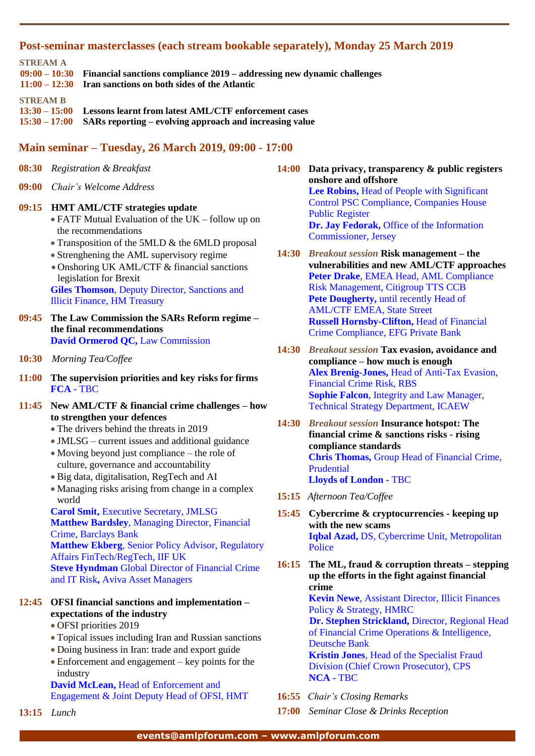#### **Post-seminar masterclasses (each stream bookable separately), Monday 25 March 2019**

**STREAM A**

**09:00 – 10:30 Financial sanctions compliance 2019 – addressing new dynamic challenges 11:00 – 12:30 Iran sanctions on both sides of the Atlantic STREAM B 13:30 – 15:00 Lessons learnt from latest AML/CTF enforcement cases 15:30 – 17:00 SARs reporting – evolving approach and increasing value**

# **Main seminar – Tuesday, 26 March 2019, 09:00 - 17:00**

- **08:30** *Registration & Breakfast*
- **09:00** *Chair's Welcome Address*

#### **09:15 HMT AML/CTF strategies update**

- FATF Mutual Evaluation of the UK follow up on the recommendations
- Transposition of the 5MLD & the 6MLD proposal
- Strenghening the AML supervisory regime
- Onshoring UK AML/CTF & financial sanctions legislation for Brexit **Giles Thomson**, Deputy Director, Sanctions and Illicit Finance, HM Treasury
- **09:45 The Law Commission the SARs Reform regime – the final recommendations David Ormerod QC,** Law Commission
- **10:30** *Morning Tea/Coffee*
- **11:00 The supervision priorities and key risks for firms FCA -** TBC
- **11:45 New AML/CTF & financial crime challenges – how to strengthen your defences**
	- The drivers behind the threats in 2019
	- JMLSG current issues and additional guidance
	- Moving beyond just compliance the role of culture, governance and accountability
	- Big data, digitalisation, RegTech and AI
	- Managing risks arising from change in a complex world

**Carol Smit,** Executive Secretary, JMLSG **Matthew Bardsley**, Managing Director, Financial Crime, Barclays Bank **Matthew Ekberg**, Senior Policy Advisor, Regulatory

Affairs FinTech/RegTech, IIF UK **Steve Hyndman** Global Director of Financial Crime

and IT Risk**,** Aviva Asset Managers

# **12:45 OFSI financial sanctions and implementation – expectations of the industry**

- OFSI priorities 2019
- Topical issues including Iran and Russian sanctions
- Doing business in Iran: trade and export guide
- Enforcement and engagement key points for the industry

**David McLean,** Head of Enforcement and Engagement & Joint Deputy Head of OFSI, HMT

**13:15** *Lunch*

**14:00 Data privacy, transparency & public registers onshore and offshore Lee Robins,** Head of People with Significant Control PSC Compliance, Companies House Public Register **Dr. Jay Fedorak,** Office of the Information Commissioner, Jersey

- **14:30** *Breakout session* **Risk management – the vulnerabilities and new AML/CTF approaches Peter Drake**, EMEA Head, AML Compliance Risk Management, Citigroup TTS CCB Pete Dougherty, until recently Head of AML/CTF EMEA, State Street **Russell Hornsby-Clifton,** Head of Financial Crime Compliance, EFG Private Bank
- **14:30** *Breakout session* **Tax evasion, avoidance and compliance – how much is enough Alex Brenig-Jones,** Head of Anti-Tax Evasion, Financial Crime Risk, RBS **Sophie Falcon**, Integrity and Law Manager, Technical Strategy Department, ICAEW
- **14:30** *Breakout session* **Insurance hotspot: The financial crime & sanctions risks - rising compliance standards Chris Thomas,** Group Head of Financial Crime, Prudential **Lloyds of London -** TBC
- **15:15** *Afternoon Tea/Coffee*
- **15:45 Cybercrime & cryptocurrencies - keeping up with the new scams Iqbal Azad,** DS, Cybercrime Unit, Metropolitan Police
- **16:15 The ML, fraud & corruption threats – stepping up the efforts in the fight against financial crime**

**Kevin Newe**, Assistant Director, Illicit Finances Policy & Strategy, HMRC **Dr. Stephen Strickland,** Director, Regional Head

of Financial Crime Operations & Intelligence, Deutsche Bank **Kristin Jones**, Head of the Specialist Fraud

Division (Chief Crown Prosecutor), CPS **NCA -** TBC

- **16:55** *Chair's Closing Remarks*
- **17:00** *Seminar Close & Drinks Reception*